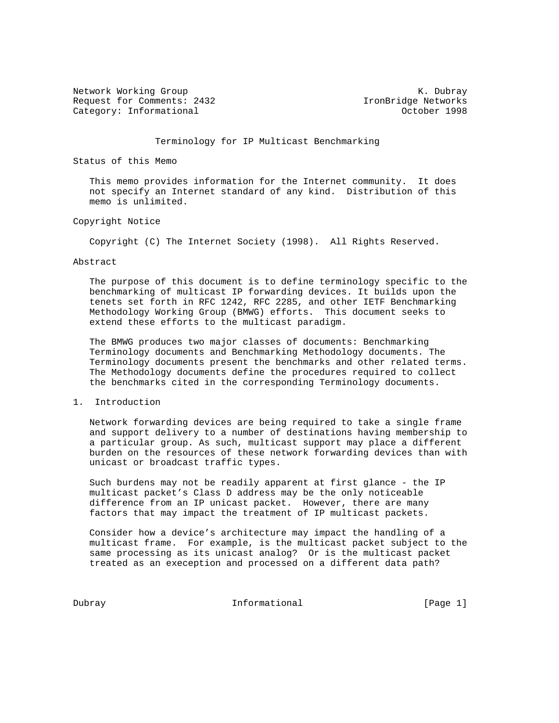Network Working Group Network Working Group Network Albert Working Communications and Muslim Communications of  $K$ . Dubray Request for Comments: 2432 IronBridge Networks Category: Informational and Category: Informational category: October 1998

## Terminology for IP Multicast Benchmarking

Status of this Memo

 This memo provides information for the Internet community. It does not specify an Internet standard of any kind. Distribution of this memo is unlimited.

## Copyright Notice

Copyright (C) The Internet Society (1998). All Rights Reserved.

### Abstract

 The purpose of this document is to define terminology specific to the benchmarking of multicast IP forwarding devices. It builds upon the tenets set forth in RFC 1242, RFC 2285, and other IETF Benchmarking Methodology Working Group (BMWG) efforts. This document seeks to extend these efforts to the multicast paradigm.

 The BMWG produces two major classes of documents: Benchmarking Terminology documents and Benchmarking Methodology documents. The Terminology documents present the benchmarks and other related terms. The Methodology documents define the procedures required to collect the benchmarks cited in the corresponding Terminology documents.

### 1. Introduction

 Network forwarding devices are being required to take a single frame and support delivery to a number of destinations having membership to a particular group. As such, multicast support may place a different burden on the resources of these network forwarding devices than with unicast or broadcast traffic types.

 Such burdens may not be readily apparent at first glance - the IP multicast packet's Class D address may be the only noticeable difference from an IP unicast packet. However, there are many factors that may impact the treatment of IP multicast packets.

 Consider how a device's architecture may impact the handling of a multicast frame. For example, is the multicast packet subject to the same processing as its unicast analog? Or is the multicast packet treated as an exeception and processed on a different data path?

Dubray **Informational Informational** [Page 1]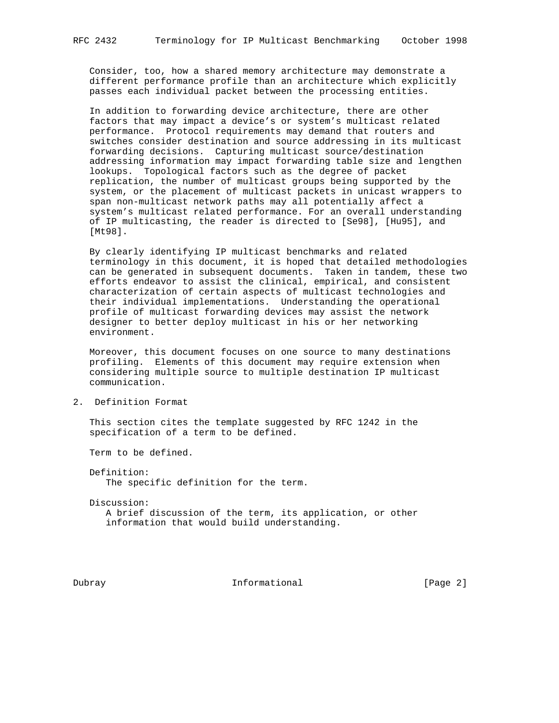Consider, too, how a shared memory architecture may demonstrate a different performance profile than an architecture which explicitly passes each individual packet between the processing entities.

 In addition to forwarding device architecture, there are other factors that may impact a device's or system's multicast related performance. Protocol requirements may demand that routers and switches consider destination and source addressing in its multicast forwarding decisions. Capturing multicast source/destination addressing information may impact forwarding table size and lengthen lookups. Topological factors such as the degree of packet replication, the number of multicast groups being supported by the system, or the placement of multicast packets in unicast wrappers to span non-multicast network paths may all potentially affect a system's multicast related performance. For an overall understanding of IP multicasting, the reader is directed to [Se98], [Hu95], and [Mt98].

 By clearly identifying IP multicast benchmarks and related terminology in this document, it is hoped that detailed methodologies can be generated in subsequent documents. Taken in tandem, these two efforts endeavor to assist the clinical, empirical, and consistent characterization of certain aspects of multicast technologies and their individual implementations. Understanding the operational profile of multicast forwarding devices may assist the network designer to better deploy multicast in his or her networking environment.

 Moreover, this document focuses on one source to many destinations profiling. Elements of this document may require extension when considering multiple source to multiple destination IP multicast communication.

2. Definition Format

 This section cites the template suggested by RFC 1242 in the specification of a term to be defined.

Term to be defined.

 Definition: The specific definition for the term.

 Discussion: A brief discussion of the term, its application, or other information that would build understanding.

Dubray **Informational Informational** [Page 2]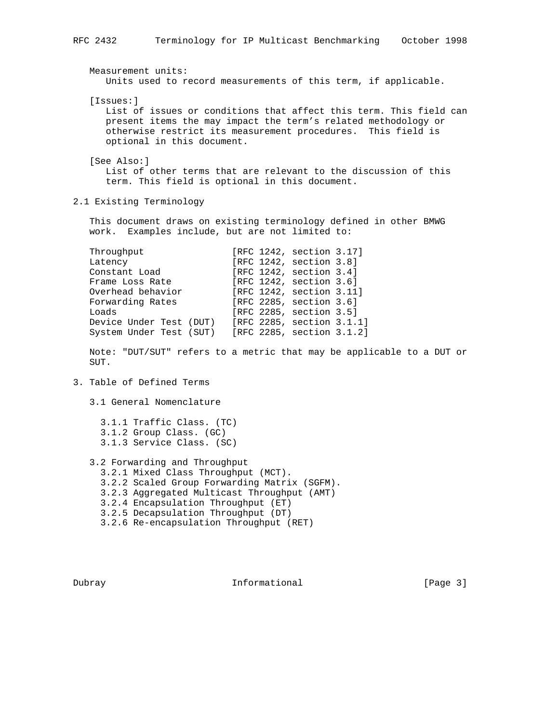Measurement units: Units used to record measurements of this term, if applicable. [Issues:] List of issues or conditions that affect this term. This field can present items the may impact the term's related methodology or otherwise restrict its measurement procedures. This field is optional in this document. [See Also:] List of other terms that are relevant to the discussion of this term. This field is optional in this document. 2.1 Existing Terminology This document draws on existing terminology defined in other BMWG work. Examples include, but are not limited to: Throughput  $[RFC 1242, section 3.17]$ Latency [RFC 1242, section 3.8]<br>Constant Load [RFC 1242, section 3.4]  $[RFC 1242, section 3.4]$ Constant Load<br>
Frame Loss Rate [RFC 1242, section 3.6]<br>
Overhead behavior [RFC 1242, section 3.11<br>
Forwarding Rates [RFC 2285, section 3.6] Overhead behavior [RFC 1242, section 3.11] Forwarding Rates [RFC 2285, section 3.6] Loads [RFC 2285, section 3.5] Device Under Test (DUT) [RFC 2285, section 3.1.1] System Under Test (SUT) [RFC 2285, section 3.1.2] Note: "DUT/SUT" refers to a metric that may be applicable to a DUT or SUT. 3. Table of Defined Terms 3.1 General Nomenclature 3.1.1 Traffic Class. (TC) 3.1.2 Group Class. (GC) 3.1.3 Service Class. (SC)

 3.2 Forwarding and Throughput 3.2.1 Mixed Class Throughput (MCT). 3.2.2 Scaled Group Forwarding Matrix (SGFM). 3.2.3 Aggregated Multicast Throughput (AMT) 3.2.4 Encapsulation Throughput (ET) 3.2.5 Decapsulation Throughput (DT) 3.2.6 Re-encapsulation Throughput (RET)

Dubray **Informational Informational** [Page 3]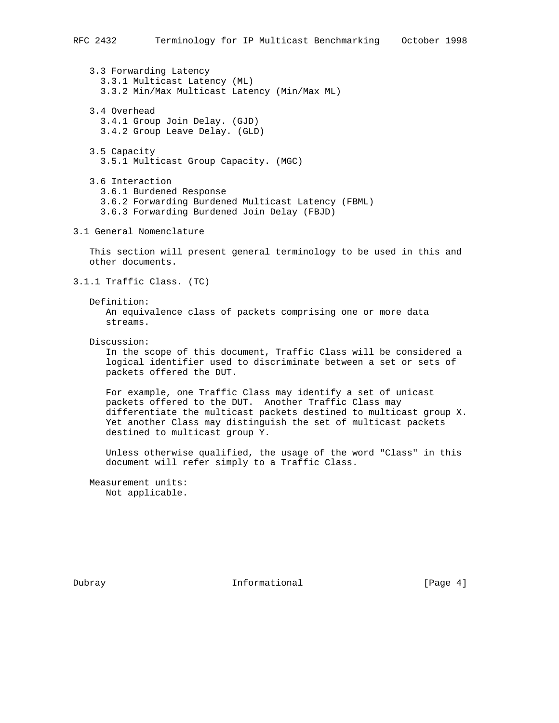3.3 Forwarding Latency 3.3.1 Multicast Latency (ML) 3.3.2 Min/Max Multicast Latency (Min/Max ML)

 3.4 Overhead 3.4.1 Group Join Delay. (GJD) 3.4.2 Group Leave Delay. (GLD)

 3.5 Capacity 3.5.1 Multicast Group Capacity. (MGC)

 3.6 Interaction 3.6.1 Burdened Response 3.6.2 Forwarding Burdened Multicast Latency (FBML) 3.6.3 Forwarding Burdened Join Delay (FBJD)

3.1 General Nomenclature

 This section will present general terminology to be used in this and other documents.

3.1.1 Traffic Class. (TC)

Definition:

 An equivalence class of packets comprising one or more data streams.

Discussion:

 In the scope of this document, Traffic Class will be considered a logical identifier used to discriminate between a set or sets of packets offered the DUT.

 For example, one Traffic Class may identify a set of unicast packets offered to the DUT. Another Traffic Class may differentiate the multicast packets destined to multicast group X. Yet another Class may distinguish the set of multicast packets destined to multicast group Y.

 Unless otherwise qualified, the usage of the word "Class" in this document will refer simply to a Traffic Class.

 Measurement units: Not applicable.

Dubray **Informational Informational** [Page 4]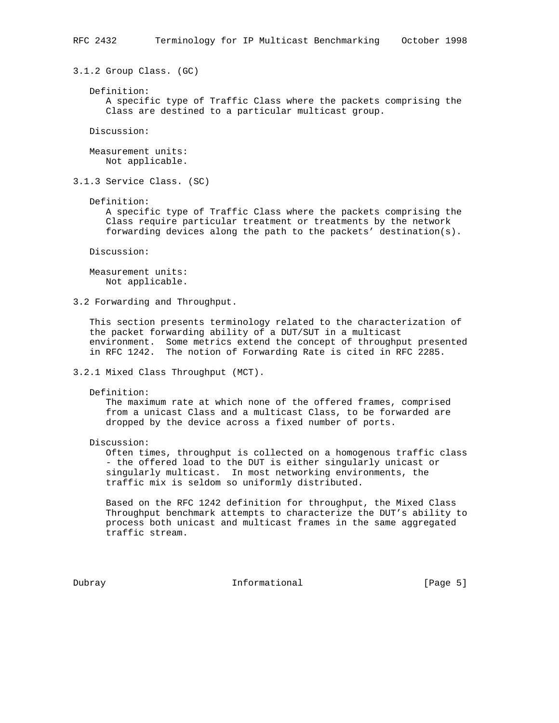3.1.2 Group Class. (GC)

 Definition: A specific type of Traffic Class where the packets comprising the Class are destined to a particular multicast group.

Discussion:

 Measurement units: Not applicable.

3.1.3 Service Class. (SC)

Definition:

 A specific type of Traffic Class where the packets comprising the Class require particular treatment or treatments by the network forwarding devices along the path to the packets' destination(s).

Discussion:

 Measurement units: Not applicable.

3.2 Forwarding and Throughput.

 This section presents terminology related to the characterization of the packet forwarding ability of a DUT/SUT in a multicast environment. Some metrics extend the concept of throughput presented in RFC 1242. The notion of Forwarding Rate is cited in RFC 2285.

3.2.1 Mixed Class Throughput (MCT).

Definition:

 The maximum rate at which none of the offered frames, comprised from a unicast Class and a multicast Class, to be forwarded are dropped by the device across a fixed number of ports.

Discussion:

 Often times, throughput is collected on a homogenous traffic class - the offered load to the DUT is either singularly unicast or singularly multicast. In most networking environments, the traffic mix is seldom so uniformly distributed.

 Based on the RFC 1242 definition for throughput, the Mixed Class Throughput benchmark attempts to characterize the DUT's ability to process both unicast and multicast frames in the same aggregated traffic stream.

Dubray **Informational Informational** [Page 5]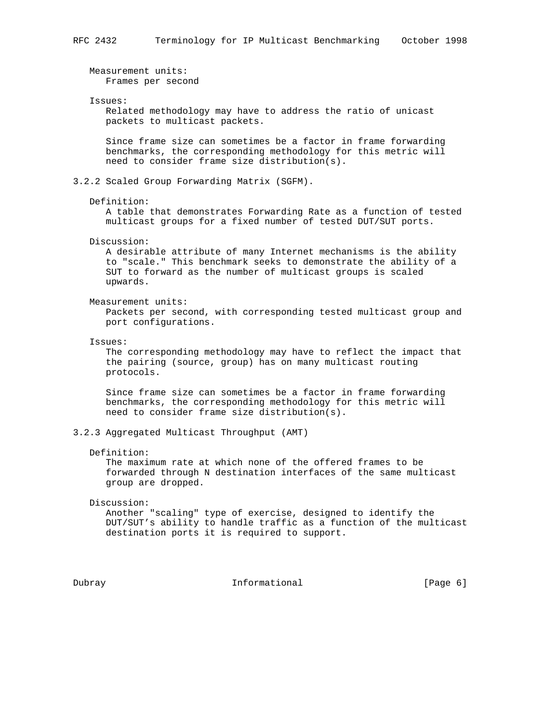Measurement units: Frames per second Issues: Related methodology may have to address the ratio of unicast packets to multicast packets. Since frame size can sometimes be a factor in frame forwarding benchmarks, the corresponding methodology for this metric will need to consider frame size distribution(s). 3.2.2 Scaled Group Forwarding Matrix (SGFM). Definition: A table that demonstrates Forwarding Rate as a function of tested multicast groups for a fixed number of tested DUT/SUT ports. Discussion: A desirable attribute of many Internet mechanisms is the ability to "scale." This benchmark seeks to demonstrate the ability of a SUT to forward as the number of multicast groups is scaled upwards. Measurement units: Packets per second, with corresponding tested multicast group and port configurations. Issues: The corresponding methodology may have to reflect the impact that the pairing (source, group) has on many multicast routing protocols. Since frame size can sometimes be a factor in frame forwarding benchmarks, the corresponding methodology for this metric will need to consider frame size distribution(s). 3.2.3 Aggregated Multicast Throughput (AMT) Definition: The maximum rate at which none of the offered frames to be forwarded through N destination interfaces of the same multicast group are dropped. Discussion: Another "scaling" type of exercise, designed to identify the DUT/SUT's ability to handle traffic as a function of the multicast destination ports it is required to support.

Dubray **Informational Informational** [Page 6]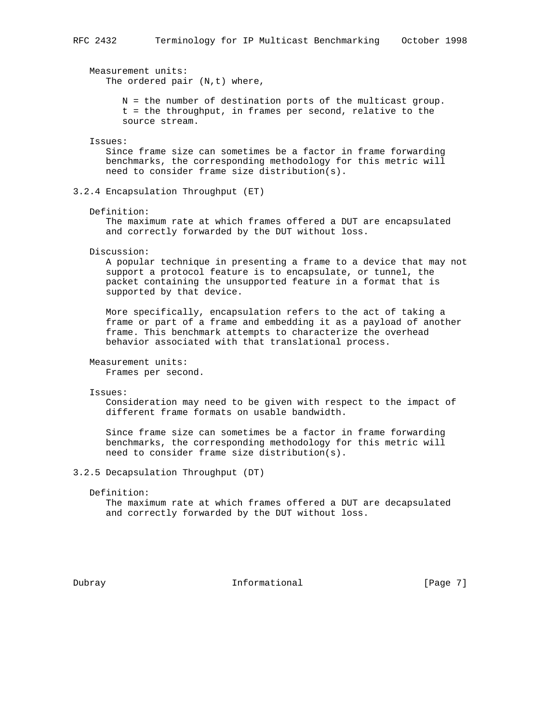Measurement units: The ordered pair  $(N,t)$  where,

> N = the number of destination ports of the multicast group. t = the throughput, in frames per second, relative to the source stream.

### Issues:

 Since frame size can sometimes be a factor in frame forwarding benchmarks, the corresponding methodology for this metric will need to consider frame size distribution(s).

3.2.4 Encapsulation Throughput (ET)

Definition:

 The maximum rate at which frames offered a DUT are encapsulated and correctly forwarded by the DUT without loss.

Discussion:

 A popular technique in presenting a frame to a device that may not support a protocol feature is to encapsulate, or tunnel, the packet containing the unsupported feature in a format that is supported by that device.

 More specifically, encapsulation refers to the act of taking a frame or part of a frame and embedding it as a payload of another frame. This benchmark attempts to characterize the overhead behavior associated with that translational process.

 Measurement units: Frames per second.

Issues:

 Consideration may need to be given with respect to the impact of different frame formats on usable bandwidth.

 Since frame size can sometimes be a factor in frame forwarding benchmarks, the corresponding methodology for this metric will need to consider frame size distribution(s).

3.2.5 Decapsulation Throughput (DT)

Definition:

 The maximum rate at which frames offered a DUT are decapsulated and correctly forwarded by the DUT without loss.

Dubray **Informational Informational** [Page 7]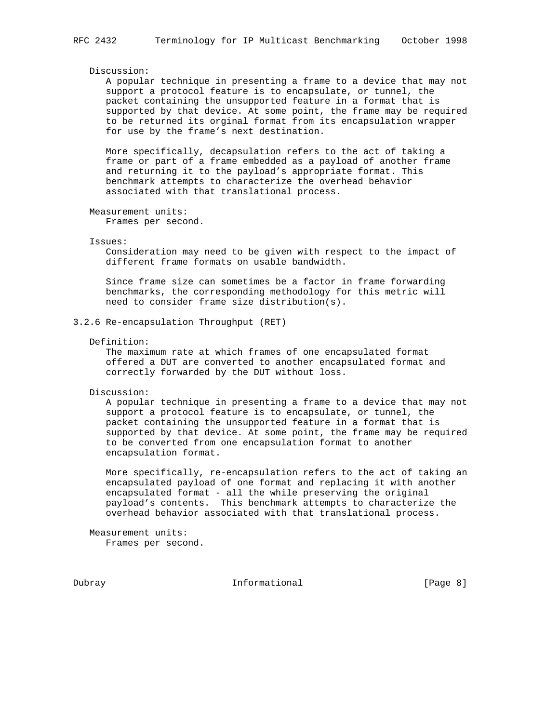#### Discussion:

 A popular technique in presenting a frame to a device that may not support a protocol feature is to encapsulate, or tunnel, the packet containing the unsupported feature in a format that is supported by that device. At some point, the frame may be required to be returned its orginal format from its encapsulation wrapper for use by the frame's next destination.

 More specifically, decapsulation refers to the act of taking a frame or part of a frame embedded as a payload of another frame and returning it to the payload's appropriate format. This benchmark attempts to characterize the overhead behavior associated with that translational process.

Measurement units:

Frames per second.

#### Issues:

 Consideration may need to be given with respect to the impact of different frame formats on usable bandwidth.

 Since frame size can sometimes be a factor in frame forwarding benchmarks, the corresponding methodology for this metric will need to consider frame size distribution(s).

#### 3.2.6 Re-encapsulation Throughput (RET)

Definition:

 The maximum rate at which frames of one encapsulated format offered a DUT are converted to another encapsulated format and correctly forwarded by the DUT without loss.

Discussion:

 A popular technique in presenting a frame to a device that may not support a protocol feature is to encapsulate, or tunnel, the packet containing the unsupported feature in a format that is supported by that device. At some point, the frame may be required to be converted from one encapsulation format to another encapsulation format.

 More specifically, re-encapsulation refers to the act of taking an encapsulated payload of one format and replacing it with another encapsulated format - all the while preserving the original payload's contents. This benchmark attempts to characterize the overhead behavior associated with that translational process.

 Measurement units: Frames per second.

Dubray **Informational Informational** [Page 8]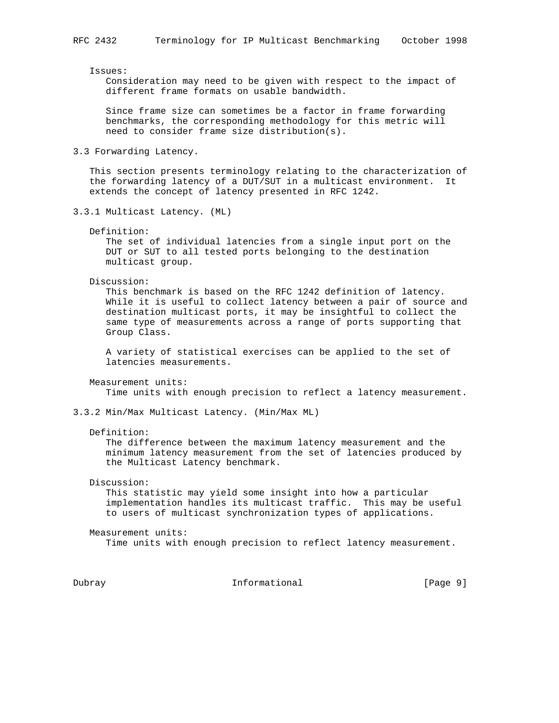Issues:

 Consideration may need to be given with respect to the impact of different frame formats on usable bandwidth.

 Since frame size can sometimes be a factor in frame forwarding benchmarks, the corresponding methodology for this metric will need to consider frame size distribution(s).

3.3 Forwarding Latency.

 This section presents terminology relating to the characterization of the forwarding latency of a DUT/SUT in a multicast environment. It extends the concept of latency presented in RFC 1242.

- 3.3.1 Multicast Latency. (ML)
	- Definition:

 The set of individual latencies from a single input port on the DUT or SUT to all tested ports belonging to the destination multicast group.

Discussion:

 This benchmark is based on the RFC 1242 definition of latency. While it is useful to collect latency between a pair of source and destination multicast ports, it may be insightful to collect the same type of measurements across a range of ports supporting that Group Class.

 A variety of statistical exercises can be applied to the set of latencies measurements.

Measurement units:

Time units with enough precision to reflect a latency measurement.

- 3.3.2 Min/Max Multicast Latency. (Min/Max ML)
	- Definition:

 The difference between the maximum latency measurement and the minimum latency measurement from the set of latencies produced by the Multicast Latency benchmark.

Discussion:

 This statistic may yield some insight into how a particular implementation handles its multicast traffic. This may be useful to users of multicast synchronization types of applications.

 Measurement units: Time units with enough precision to reflect latency measurement.

Dubray **Informational Informational** [Page 9]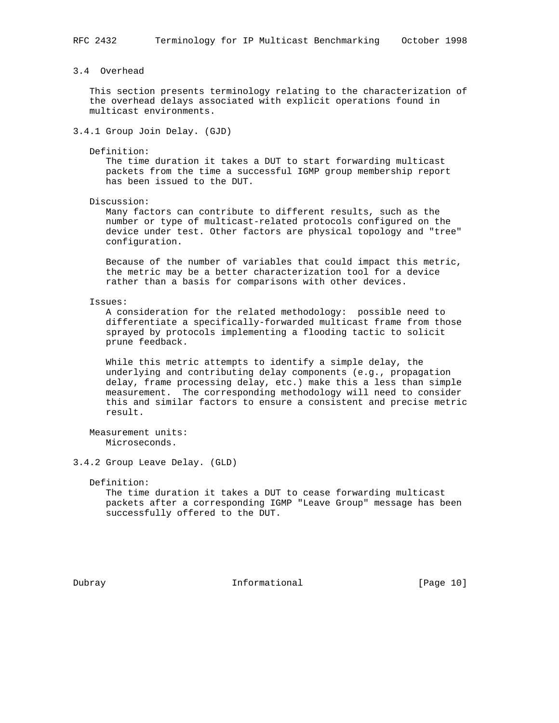## 3.4 Overhead

 This section presents terminology relating to the characterization of the overhead delays associated with explicit operations found in multicast environments.

## 3.4.1 Group Join Delay. (GJD)

Definition:

 The time duration it takes a DUT to start forwarding multicast packets from the time a successful IGMP group membership report has been issued to the DUT.

Discussion:

 Many factors can contribute to different results, such as the number or type of multicast-related protocols configured on the device under test. Other factors are physical topology and "tree" configuration.

 Because of the number of variables that could impact this metric, the metric may be a better characterization tool for a device rather than a basis for comparisons with other devices.

Issues:

 A consideration for the related methodology: possible need to differentiate a specifically-forwarded multicast frame from those sprayed by protocols implementing a flooding tactic to solicit prune feedback.

 While this metric attempts to identify a simple delay, the underlying and contributing delay components (e.g., propagation delay, frame processing delay, etc.) make this a less than simple measurement. The corresponding methodology will need to consider this and similar factors to ensure a consistent and precise metric result.

 Measurement units: Microseconds.

## 3.4.2 Group Leave Delay. (GLD)

Definition:

 The time duration it takes a DUT to cease forwarding multicast packets after a corresponding IGMP "Leave Group" message has been successfully offered to the DUT.

Dubray **Informational** [Page 10]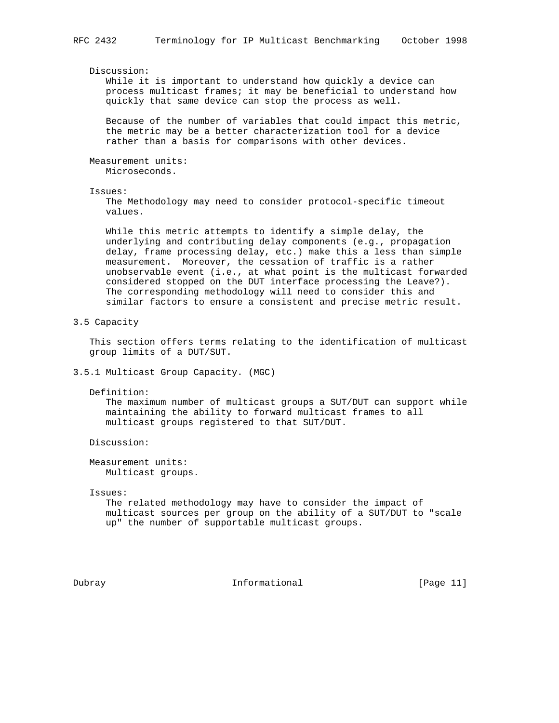Discussion:

 While it is important to understand how quickly a device can process multicast frames; it may be beneficial to understand how quickly that same device can stop the process as well.

 Because of the number of variables that could impact this metric, the metric may be a better characterization tool for a device rather than a basis for comparisons with other devices.

 Measurement units: Microseconds.

Issues:

 The Methodology may need to consider protocol-specific timeout values.

 While this metric attempts to identify a simple delay, the underlying and contributing delay components (e.g., propagation delay, frame processing delay, etc.) make this a less than simple measurement. Moreover, the cessation of traffic is a rather unobservable event (i.e., at what point is the multicast forwarded considered stopped on the DUT interface processing the Leave?). The corresponding methodology will need to consider this and similar factors to ensure a consistent and precise metric result.

3.5 Capacity

 This section offers terms relating to the identification of multicast group limits of a DUT/SUT.

3.5.1 Multicast Group Capacity. (MGC)

Definition:

 The maximum number of multicast groups a SUT/DUT can support while maintaining the ability to forward multicast frames to all multicast groups registered to that SUT/DUT.

Discussion:

 Measurement units: Multicast groups.

Issues:

 The related methodology may have to consider the impact of multicast sources per group on the ability of a SUT/DUT to "scale up" the number of supportable multicast groups.

Dubray **Informational** [Page 11]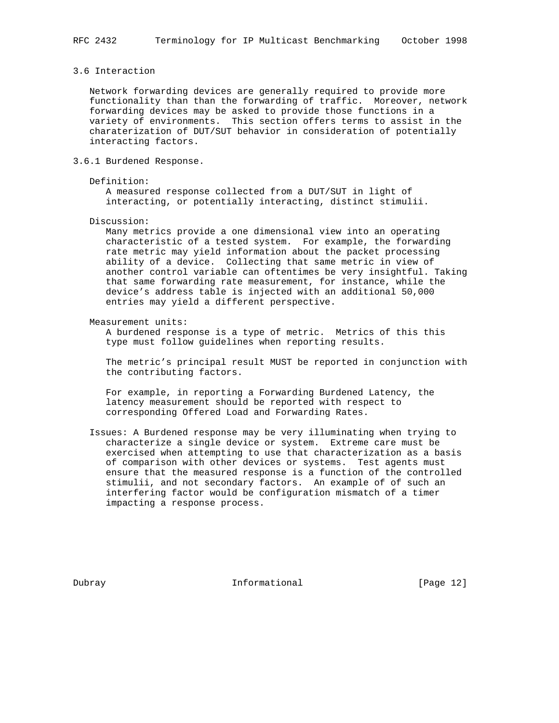### 3.6 Interaction

 Network forwarding devices are generally required to provide more functionality than than the forwarding of traffic. Moreover, network forwarding devices may be asked to provide those functions in a variety of environments. This section offers terms to assist in the charaterization of DUT/SUT behavior in consideration of potentially interacting factors.

3.6.1 Burdened Response.

### Definition:

 A measured response collected from a DUT/SUT in light of interacting, or potentially interacting, distinct stimulii.

Discussion:

 Many metrics provide a one dimensional view into an operating characteristic of a tested system. For example, the forwarding rate metric may yield information about the packet processing ability of a device. Collecting that same metric in view of another control variable can oftentimes be very insightful. Taking that same forwarding rate measurement, for instance, while the device's address table is injected with an additional 50,000 entries may yield a different perspective.

Measurement units:

 A burdened response is a type of metric. Metrics of this this type must follow guidelines when reporting results.

 The metric's principal result MUST be reported in conjunction with the contributing factors.

 For example, in reporting a Forwarding Burdened Latency, the latency measurement should be reported with respect to corresponding Offered Load and Forwarding Rates.

 Issues: A Burdened response may be very illuminating when trying to characterize a single device or system. Extreme care must be exercised when attempting to use that characterization as a basis of comparison with other devices or systems. Test agents must ensure that the measured response is a function of the controlled stimulii, and not secondary factors. An example of of such an interfering factor would be configuration mismatch of a timer impacting a response process.

Dubray **Informational** [Page 12]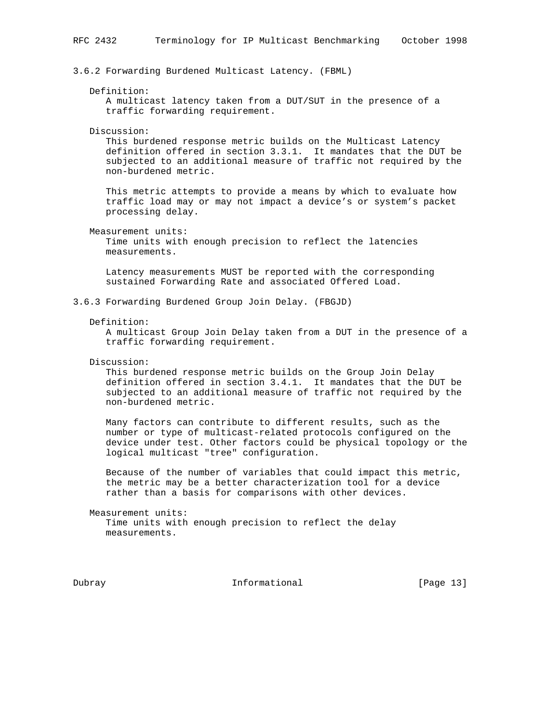3.6.2 Forwarding Burdened Multicast Latency. (FBML)

#### Definition:

 A multicast latency taken from a DUT/SUT in the presence of a traffic forwarding requirement.

#### Discussion:

 This burdened response metric builds on the Multicast Latency definition offered in section 3.3.1. It mandates that the DUT be subjected to an additional measure of traffic not required by the non-burdened metric.

 This metric attempts to provide a means by which to evaluate how traffic load may or may not impact a device's or system's packet processing delay.

Measurement units:

 Time units with enough precision to reflect the latencies measurements.

 Latency measurements MUST be reported with the corresponding sustained Forwarding Rate and associated Offered Load.

3.6.3 Forwarding Burdened Group Join Delay. (FBGJD)

#### Definition:

 A multicast Group Join Delay taken from a DUT in the presence of a traffic forwarding requirement.

Discussion:

 This burdened response metric builds on the Group Join Delay definition offered in section 3.4.1. It mandates that the DUT be subjected to an additional measure of traffic not required by the non-burdened metric.

 Many factors can contribute to different results, such as the number or type of multicast-related protocols configured on the device under test. Other factors could be physical topology or the logical multicast "tree" configuration.

 Because of the number of variables that could impact this metric, the metric may be a better characterization tool for a device rather than a basis for comparisons with other devices.

 Measurement units: Time units with enough precision to reflect the delay measurements.

Dubray **Informational** [Page 13]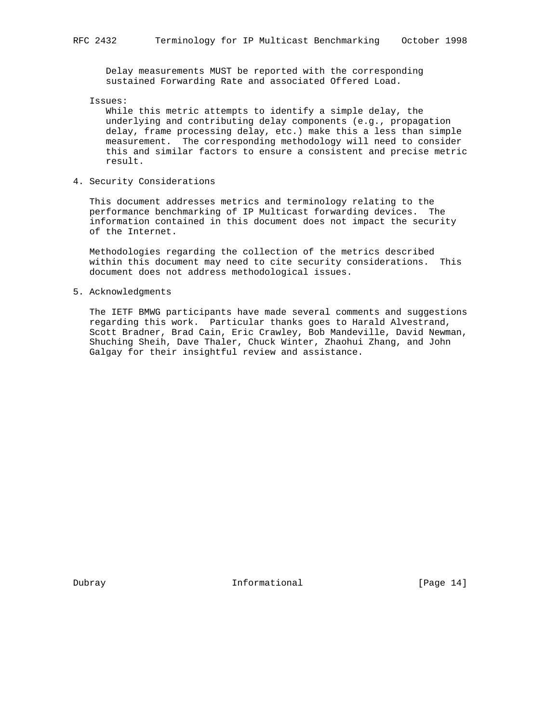Delay measurements MUST be reported with the corresponding sustained Forwarding Rate and associated Offered Load.

Issues:

 While this metric attempts to identify a simple delay, the underlying and contributing delay components (e.g., propagation delay, frame processing delay, etc.) make this a less than simple measurement. The corresponding methodology will need to consider this and similar factors to ensure a consistent and precise metric result.

4. Security Considerations

 This document addresses metrics and terminology relating to the performance benchmarking of IP Multicast forwarding devices. The information contained in this document does not impact the security of the Internet.

 Methodologies regarding the collection of the metrics described within this document may need to cite security considerations. This document does not address methodological issues.

5. Acknowledgments

 The IETF BMWG participants have made several comments and suggestions regarding this work. Particular thanks goes to Harald Alvestrand, Scott Bradner, Brad Cain, Eric Crawley, Bob Mandeville, David Newman, Shuching Sheih, Dave Thaler, Chuck Winter, Zhaohui Zhang, and John Galgay for their insightful review and assistance.

Dubray **Informational** [Page 14]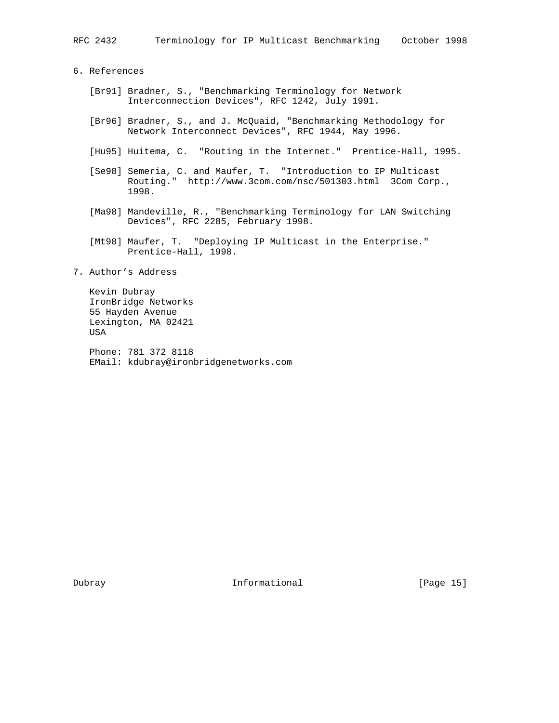6. References

- [Br91] Bradner, S., "Benchmarking Terminology for Network Interconnection Devices", RFC 1242, July 1991.
- [Br96] Bradner, S., and J. McQuaid, "Benchmarking Methodology for Network Interconnect Devices", RFC 1944, May 1996.
- [Hu95] Huitema, C. "Routing in the Internet." Prentice-Hall, 1995.
- [Se98] Semeria, C. and Maufer, T. "Introduction to IP Multicast Routing." http://www.3com.com/nsc/501303.html 3Com Corp., 1998.
- [Ma98] Mandeville, R., "Benchmarking Terminology for LAN Switching Devices", RFC 2285, February 1998.
- [Mt98] Maufer, T. "Deploying IP Multicast in the Enterprise." Prentice-Hall, 1998.
- 7. Author's Address

 Kevin Dubray IronBridge Networks 55 Hayden Avenue Lexington, MA 02421 USA

 Phone: 781 372 8118 EMail: kdubray@ironbridgenetworks.com

Dubray **Informational** [Page 15]